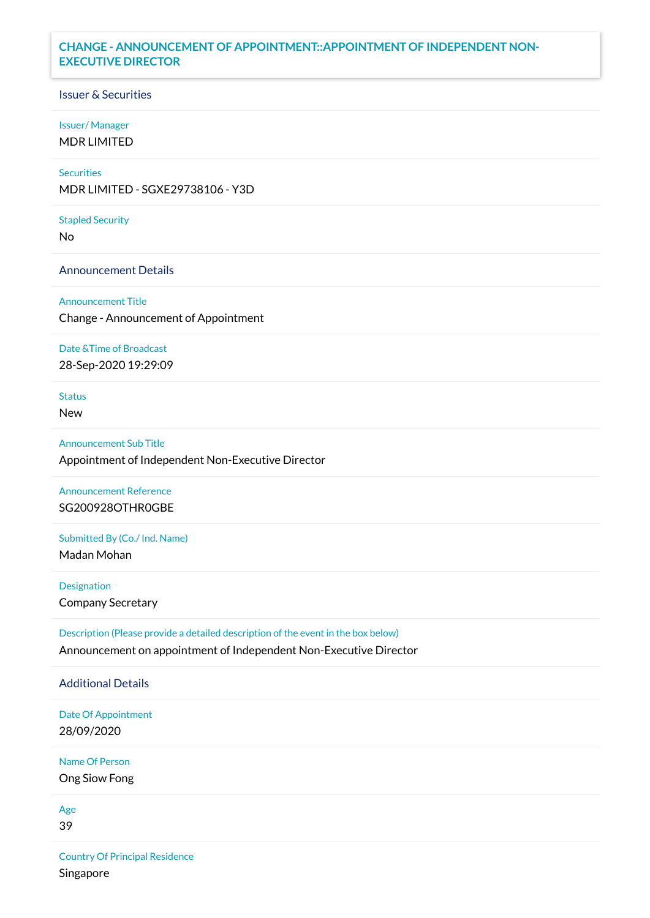# **CHANGE - ANNOUNCEMENT OF APPOINTMENT::APPOINTMENT OF INDEPENDENT NON-EXECUTIVE DIRECTOR**

### Issuer & Securities

#### Issuer/ Manager

MDR LIMITED

# **Securities**

MDR LIMITED - SGXE29738106 - Y3D

#### Stapled Security

No

### Announcement Details

Announcement Title

Change - Announcement of Appointment

#### Date &Time of Broadcast

28-Sep-2020 19:29:09

## Status

New

### Announcement Sub Title

Appointment of Independent Non-Executive Director

# Announcement Reference SG200928OTHR0GBE

Submitted By (Co./ Ind. Name)

Madan Mohan

Designation Company Secretary

Description (Please provide a detailed description of the event in the box below) Announcement on appointment of Independent Non-Executive Director

#### Additional Details

Date Of Appointment 28/09/2020

Name Of Person Ong Siow Fong

# Age

39

Country Of Principal Residence Singapore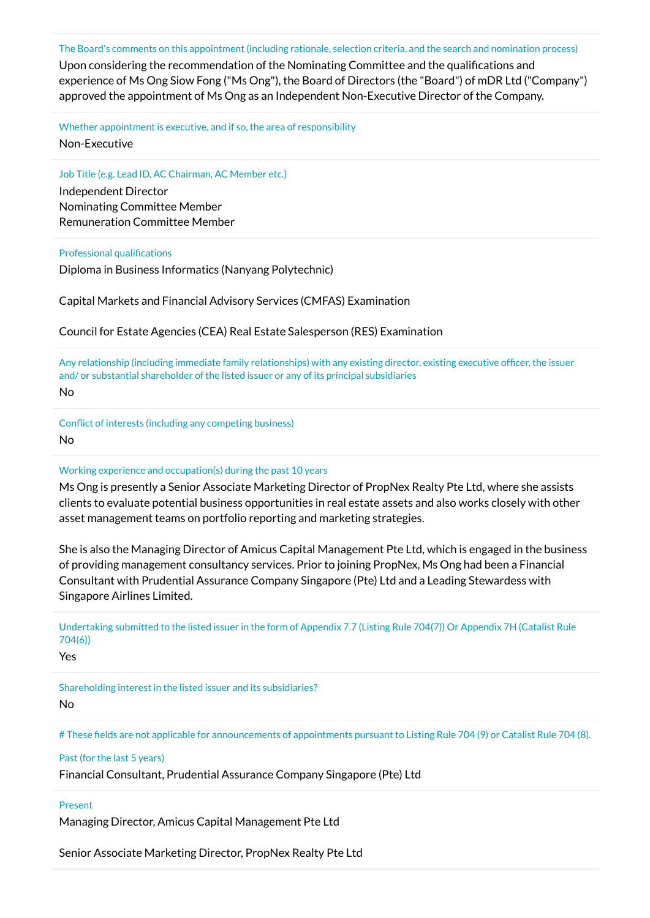The Board's comments on this appointment (including rationale, selection criteria, and the search and nomination process)

Upon considering the recommendation of the Nominating Committee and the qualifications and experience of Ms Ong Siow Fong ("Ms Ong"), the Board of Directors (the "Board") of mDR Ltd ("Company") approved the appointment of Ms Ong as an Independent Non-Executive Director of the Company.

Whether appointment is executive, and if so, the area of responsibility

Non-Executive

Job Title (e.g. Lead ID, AC Chairman, AC Member etc.)

Independent Director Nominating Committee Member Remuneration Committee Member

#### Professional qualifications

Diploma in Business Informatics (Nanyang Polytechnic)

Capital Markets and Financial Advisory Services (CMFAS) Examination

Council for Estate Agencies (CEA) Real Estate Salesperson (RES) Examination

Any relationship (including immediate family relationships) with any existing director, existing executive officer, the issuer and/ or substantial shareholder of the listed issuer or any of its principal subsidiaries

No

Conflict of interests (including any competing business) No

### Working experience and occupation(s) during the past 10 years

Ms Ong is presently a Senior Associate Marketing Director of PropNex Realty Pte Ltd, where she assists clients to evaluate potential business opportunities in real estate assets and also works closely with other asset management teams on portfolio reporting and marketing strategies.

She is also the Managing Director of Amicus Capital Management Pte Ltd, which is engaged in the business of providing management consultancy services. Prior to joining PropNex, Ms Ong had been a Financial Consultant with Prudential Assurance Company Singapore (Pte) Ltd and a Leading Stewardess with Singapore Airlines Limited.

Undertaking submitted to the listed issuer in the form of Appendix 7.7 (Listing Rule 704(7)) Or Appendix 7H (Catalist Rule 704(6))

Yes

Shareholding interest in the listed issuer and its subsidiaries?

No

# These fields are not applicable for announcements of appointments pursuant to Listing Rule 704 (9) or Catalist Rule 704 (8).

### Past (for the last 5 years)

Financial Consultant, Prudential Assurance Company Singapore (Pte) Ltd

### Present

Managing Director, Amicus Capital Management Pte Ltd

Senior Associate Marketing Director, PropNex Realty Pte Ltd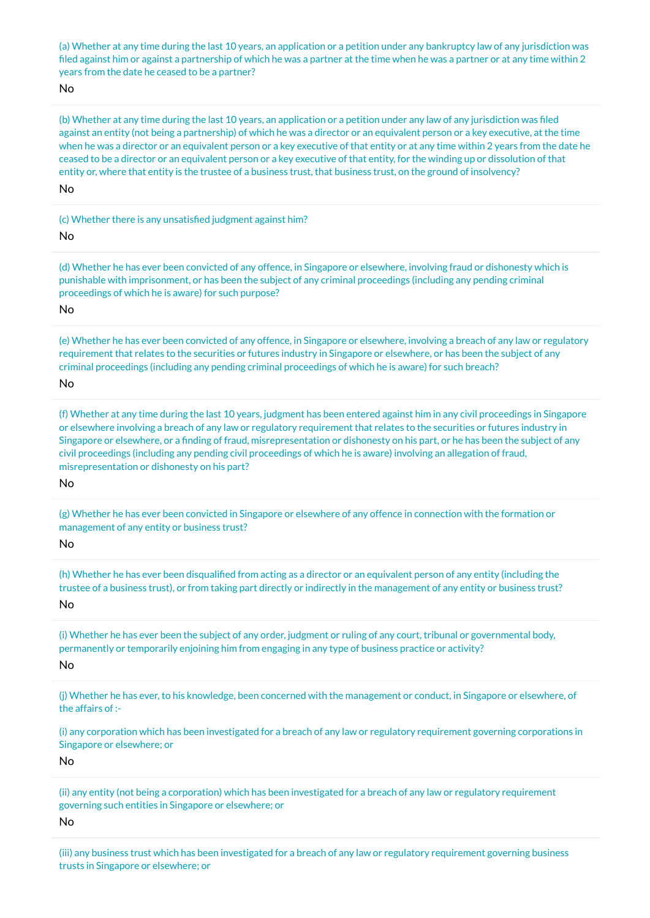(a) Whether at any time during the last 10 years, an application or a petition under any bankruptcy law of any jurisdiction was filed against him or against a partnership of which he was a partner at the time when he was a partner or at any time within 2 years from the date he ceased to be a partner?

No

(b) Whether at any time during the last 10 years, an application or a petition under any law of any jurisdiction was filed against an entity (not being a partnership) of which he was a director or an equivalent person or a key executive, at the time when he was a director or an equivalent person or a key executive of that entity or at any time within 2 years from the date he ceased to be a director or an equivalent person or a key executive of that entity, for the winding up or dissolution of that entity or, where that entity is the trustee of a business trust, that business trust, on the ground of insolvency?

No

(c) Whether there is any unsatisfied judgment against him?

No

(d) Whether he has ever been convicted of any offence, in Singapore or elsewhere, involving fraud or dishonesty which is punishable with imprisonment, or has been the subject of any criminal proceedings (including any pending criminal proceedings of which he is aware) for such purpose?

No

(e) Whether he has ever been convicted of any offence, in Singapore or elsewhere, involving a breach of any law or regulatory requirement that relates to the securities or futures industry in Singapore or elsewhere, or has been the subject of any criminal proceedings (including any pending criminal proceedings of which he is aware) for such breach?

No

(f) Whether at any time during the last 10 years, judgment has been entered against him in any civil proceedings in Singapore or elsewhere involving a breach of any law or regulatory requirement that relates to the securities or futures industry in Singapore or elsewhere, or a finding of fraud, misrepresentation or dishonesty on his part, or he has been the subject of any civil proceedings (including any pending civil proceedings of which he is aware) involving an allegation of fraud, misrepresentation or dishonesty on his part?

No

(g) Whether he has ever been convicted in Singapore or elsewhere of any offence in connection with the formation or management of any entity or business trust?

No

(h) Whether he has ever been disqualified from acting as a director or an equivalent person of any entity (including the trustee of a business trust), or from taking part directly or indirectly in the management of any entity or business trust? No

(i) Whether he has ever been the subject of any order, judgment or ruling of any court, tribunal or governmental body, permanently or temporarily enjoining him from engaging in any type of business practice or activity?

No

(j) Whether he has ever, to his knowledge, been concerned with the management or conduct, in Singapore or elsewhere, of the affairs of :-

(i) any corporation which has been investigated for a breach of any law or regulatory requirement governing corporations in Singapore or elsewhere; or

No

(ii) any entity (not being a corporation) which has been investigated for a breach of any law or regulatory requirement governing such entities in Singapore or elsewhere; or

No

(iii) any business trust which has been investigated for a breach of any law or regulatory requirement governing business trusts in Singapore or elsewhere; or